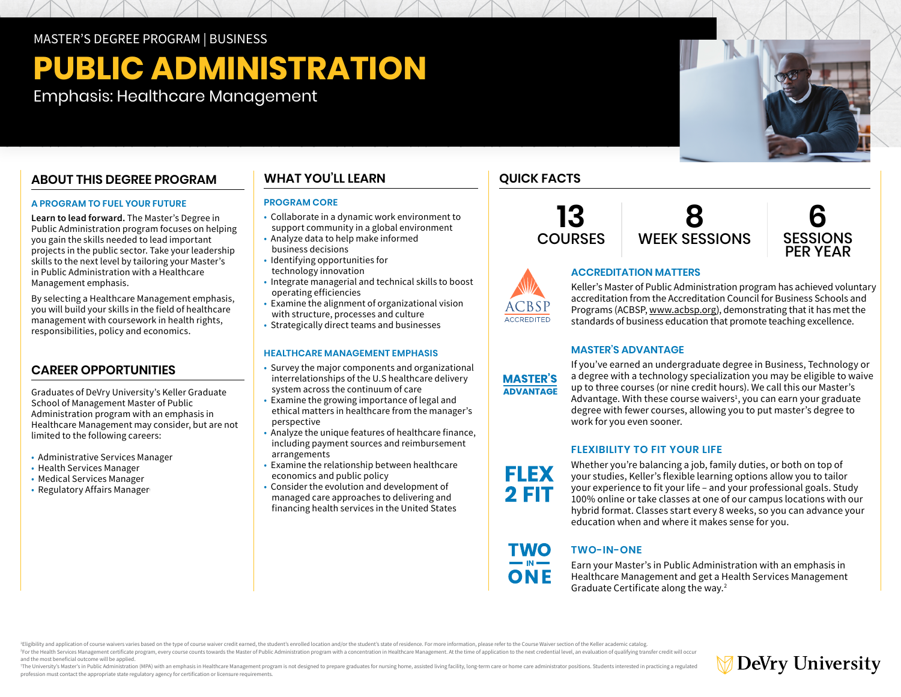MASTER'S DEGREE PROGRAM | BUSINESS

# **PUBLIC ADMINISTRATION**

Emphasis: Healthcare Management

# **ABOUT THIS DEGREE PROGRAM**

## **A PROGRAM TO FUEL YOUR FUTURE**

**Learn to lead forward.** The Master's Degree in Public Administration program focuses on helping you gain the skills needed to lead important projects in the public sector. Take your leadership skills to the next level by tailoring your Master's in Public Administration with a Healthcare Management emphasis.

By selecting a Healthcare Management emphasis, you will build your skills in the field of healthcare management with coursework in health rights, responsibilities, policy and economics.

# **CAREER OPPORTUNITIES**

Graduates of DeVry University's Keller Graduate School of Management Master of Public Administration program with an emphasis in Healthcare Management may consider, but are not limited to the following careers:

- Administrative Services Manager
- Health Services Manager
- Medical Services Manager
- Regulatory Affairs Manager†

# **WHAT YOU'LL LEARN**

## **PROGRAM CORE**

- Collaborate in a dynamic work environment to support community in a global environment
- Analyze data to help make informed business decisions
- Identifying opportunities for technology innovation
- Integrate managerial and technical skills to boost operating efficiencies
- Examine the alignment of organizational vision with structure, processes and culture
- Strategically direct teams and businesses

## **HEALTHCARE MANAGEMENT EMPHASIS**

- Survey the major components and organizational interrelationships of the U.S healthcare delivery system across the continuum of care
- Examine the growing importance of legal and ethical matters in healthcare from the manager's perspective
- Analyze the unique features of healthcare finance, including payment sources and reimbursement arrangements
- Examine the relationship between healthcare economics and public policy
- Consider the evolution and development of managed care approaches to delivering and financing health services in the United States

# **QUICK FACTS**







# **ACCREDITATION MATTERS**

Keller's Master of Public Administration program has achieved voluntary accreditation from the Accreditation Council for Business Schools and Programs (ACBSP, [www.acbsp.org\)](https://www.acbsp.org), demonstrating that it has met the standards of business education that promote teaching excellence.

## **MASTER'S ADVANTAGE**

**MASTER'S ADVANTAGE** 

**ACCREDITED** 

If you've earned an undergraduate degree in Business, Technology or a degree with a technology specialization you may be eligible to waive up to three courses (or nine credit hours). We call this our Master's Advantage. With these course waivers<sup>1</sup>, you can earn your graduate degree with fewer courses, allowing you to put master's degree to work for you even sooner.

# **FLEXIBILITY TO FIT YOUR LIFE**

**FLEX 2 FIT** 

**TWO**  $\blacksquare$  IN  $\blacksquare$ ONE

Whether you're balancing a job, family duties, or both on top of your studies, Keller's flexible learning options allow you to tailor your experience to fit your life – and your professional goals. Study 100% online or take classes at one of our campus locations with our hybrid format. Classes start every 8 weeks, so you can advance your education when and where it makes sense for you.

# **TWO-IN-ONE**

Earn your Master's in Public Administration with an emphasis in Healthcare Management and get a Health Services Management Graduate Certificate along the way.2

Eligibility and application of course waivers varies based on the type of course waiver credit earned, the student's enrolled location and/or the student's state of residence. For more information, please refer to the Cour For the Health Services Management certificate program, every course counts towards the Master of Public Administration program with a concentration in Healthcare Management. At the time of application to the next credenti and the most beneficial outcome will be applied.

The University's Master's in Public Administration (MPA) with an emphasis in Healthcare Management program is not designed to prepare graduates for nursing home, assisted living facility, long-term care or home care admini profession must contact the appropriate state regulatory agency for certification or licensure requirements.